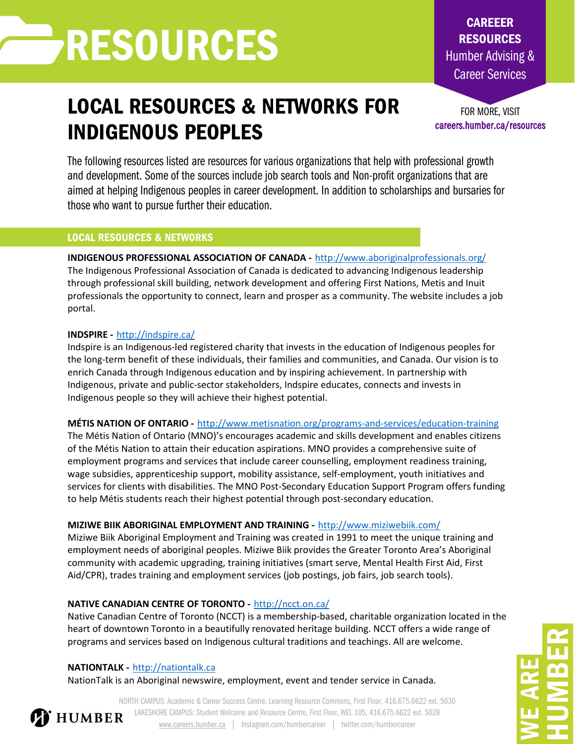# RESOURCES

### LOCAL RESOURCES & NETWORKS FOR INDIGENOUS PEOPLES

FOR MORE, VISIT careers.humber.ca/resources

CAREEER RESOURCES Humber Advising & Career Services

The following resources listed are resources for various organizations that help with professional growth and development. Some of the sources include job search tools and Non-profit organizations that are aimed at helping Indigenous peoples in career development. In addition to scholarships and bursaries for those who want to pursue further their education.

### LOCAL RESOURCES & NETWORKS

### **INDIGENOUS PROFESSIONAL ASSOCIATION OF CANADA -** <http://www.aboriginalprofessionals.org/>

The Indigenous Professional Association of Canada is dedicated to advancing Indigenous leadership through professional skill building, network development and offering First Nations, Metis and Inuit professionals the opportunity to connect, learn and prosper as a community. The website includes a job portal.

### **INDSPIRE -** http://indspire.ca/

Indspire is an Indigenous-led registered charity that invests in the education of Indigenous peoples for the long-term benefit of these individuals, their families and communities, and Canada. Our vision is to enrich Canada through Indigenous education and by inspiring achievement. In partnership with Indigenous, private and public-sector stakeholders, Indspire educates, connects and invests in Indigenous people so they will achieve their highest potential.

### **MÉTIS NATION OF ONTARIO -** <http://www.metisnation.org/programs-and-services/education-training>

The Métis Nation of Ontario (MNO)'s encourages academic and skills development and enables citizens of the Métis Nation to attain their education aspirations. MNO provides a comprehensive suite of employment programs and services that include career counselling, employment readiness training, wage subsidies, apprenticeship support, mobility assistance, self-employment, youth initiatives and services for clients with disabilities. The MNO Post-Secondary Education Support Program offers funding to help Métis students reach their highest potential through post-secondary education.

### **MIZIWE BIIK ABORIGINAL EMPLOYMENT AND TRAINING -** http://www.miziwebiik.com/

Miziwe Biik Aboriginal Employment and Training was created in 1991 to meet the unique training and employment needs of aboriginal peoples. Miziwe Biik provides the Greater Toronto Area's Aboriginal community with academic upgrading, training initiatives (smart serve, Mental Health First Aid, First Aid/CPR), trades training and employment services (job postings, job fairs, job search tools).

### **NATIVE CANADIAN CENTRE OF TORONTO -** http://ncct.on.ca/

Native Canadian Centre of Toronto (NCCT) is a membership-based, charitable organization located in the heart of downtown Toronto in a beautifully renovated heritage building. NCCT offers a wide range of programs and services based on Indigenous cultural traditions and teachings. All are welcome.

### **NATIONTALK -** http://nationtalk.ca

NationTalk is an Aboriginal newswire, employment, event and tender service in Canada.

NORTH CAMPUS: Academic & Career Success Centre, Learning Resource Commons, First Floor, 416.675.6622 ext. 5030 LAKESHORE CAMPUS: Student Welcome and Resource Centre, First Floor, WEL 105, 416.675.6622 ext. 5028 **T** HUMBER [www.careers.humber.ca](http://www.careers.humber.ca/) | Instagram.com/humbercareer | twitter.com/humbercareer